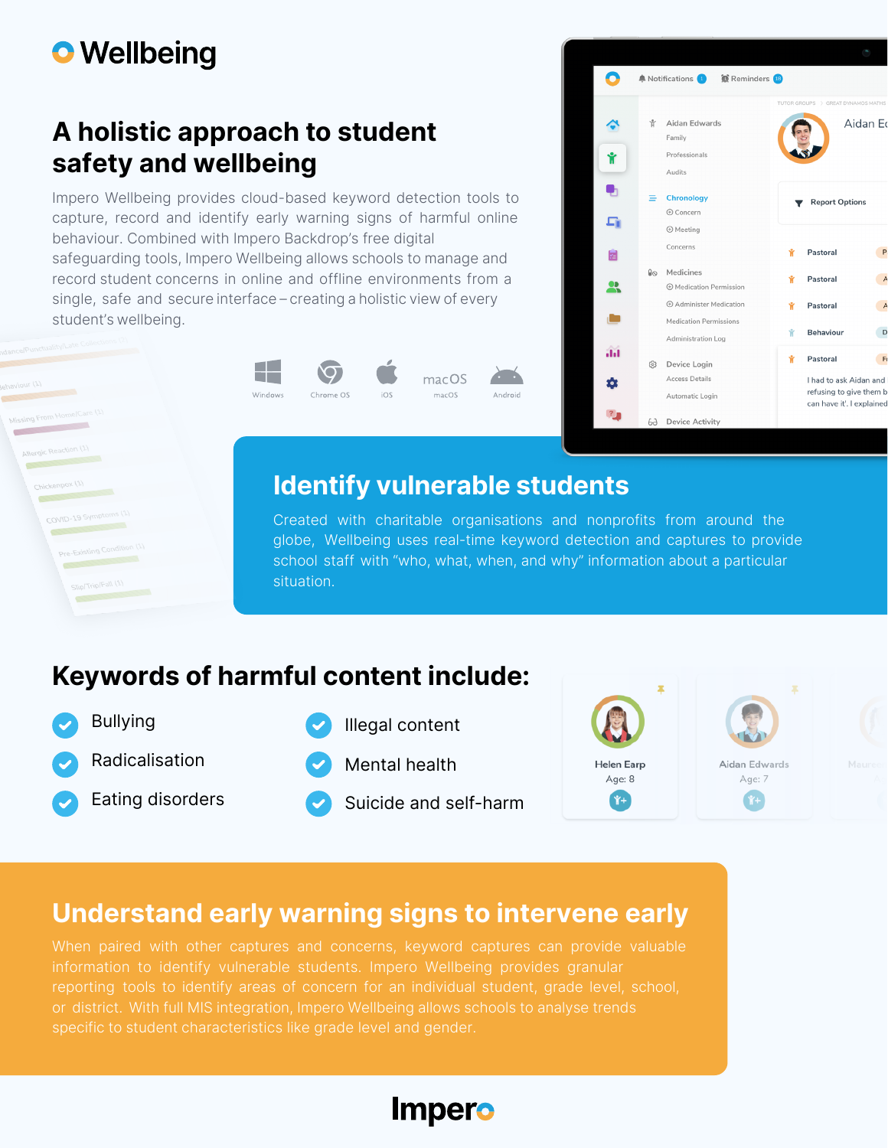# **O** Wellbeing

ing From HomelC

Allergic Reaction (1) 10000

**CONTRACTOR** 

COVID-19 Symptoms (1 **COVID-1997** Pre-Existing Condition **MARTIN LINE** 

#### A holistic approach to student safety and wellbeing

Impero Wellbeing provides cloud-based keyword detection tools to capture, record and identify early warning signs of harmful online behaviour. Combined with Impero Backdrop's free digital safeguarding tools, Impero Wellbeing allows schools to manage and record student concerns in online and offline environments from a single, safe and secure interface – creating a holistic view of every student's wellbeing.







#### Identify vulnerable students

Created with charitable organisations and nonprofits from around the globe, Wellbeing uses real-time keyword detection and captures to provide school staff with "who, what, when, and why" information about a particular situation.

## Keywords of harmful content include:

Bullying Radicalisation

Eating disorders



iOS

Suicide and self-harm



## Understand early warning signs to intervene early

or district. With full MIS integration, Impero Wellbeing allows schools to analyse trends